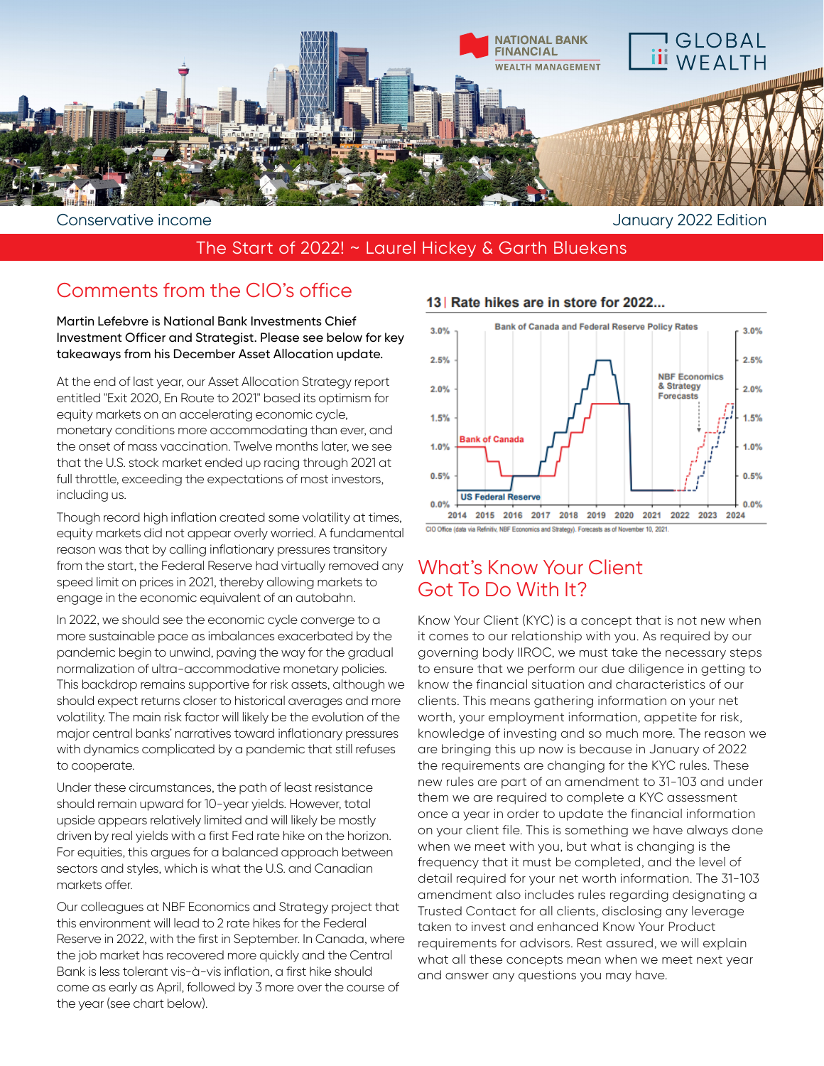

## The Start of 2022! ~ Laurel Hickey & Garth Bluekens

# Comments from the CIO's office

Martin Lefebvre is National Bank Investments Chief Investment Officer and Strategist. Please see below for key takeaways from his December Asset Allocation update.

At the end of last year, our Asset Allocation Strategy report entitled "Exit 2020, En Route to 2021" based its optimism for equity markets on an accelerating economic cycle, monetary conditions more accommodating than ever, and the onset of mass vaccination. Twelve months later, we see that the U.S. stock market ended up racing through 2021 at full throttle, exceeding the expectations of most investors, including us.

Though record high inflation created some volatility at times, equity markets did not appear overly worried. A fundamental reason was that by calling inflationary pressures transitory from the start, the Federal Reserve had virtually removed any speed limit on prices in 2021, thereby allowing markets to engage in the economic equivalent of an autobahn.

In 2022, we should see the economic cycle converge to a more sustainable pace as imbalances exacerbated by the pandemic begin to unwind, paving the way for the gradual normalization of ultra-accommodative monetary policies. This backdrop remains supportive for risk assets, although we should expect returns closer to historical averages and more volatility. The main risk factor will likely be the evolution of the major central banks' narratives toward inflationary pressures with dynamics complicated by a pandemic that still refuses to cooperate.

Under these circumstances, the path of least resistance should remain upward for 10-year yields. However, total upside appears relatively limited and will likely be mostly driven by real yields with a first Fed rate hike on the horizon. For equities, this argues for a balanced approach between sectors and styles, which is what the U.S. and Canadian markets offer.

Our colleagues at NBF Economics and Strategy project that this environment will lead to 2 rate hikes for the Federal Reserve in 2022, with the first in September. In Canada, where the job market has recovered more quickly and the Central Bank is less tolerant vis-à-vis inflation, a first hike should come as early as April, followed by 3 more over the course of the year (see chart below).



# 13 | Rate hikes are in store for 2022...

# What's Know Your Client Got To Do With It?

Know Your Client (KYC) is a concept that is not new when it comes to our relationship with you. As required by our governing body IIROC, we must take the necessary steps to ensure that we perform our due diligence in getting to know the financial situation and characteristics of our clients. This means gathering information on your net worth, your employment information, appetite for risk, knowledge of investing and so much more. The reason we are bringing this up now is because in January of 2022 the requirements are changing for the KYC rules. These new rules are part of an amendment to 31-103 and under them we are required to complete a KYC assessment once a year in order to update the financial information on your client file. This is something we have always done when we meet with you, but what is changing is the frequency that it must be completed, and the level of detail required for your net worth information. The 31-103 amendment also includes rules regarding designating a Trusted Contact for all clients, disclosing any leverage taken to invest and enhanced Know Your Product requirements for advisors. Rest assured, we will explain what all these concepts mean when we meet next year and answer any questions you may have.